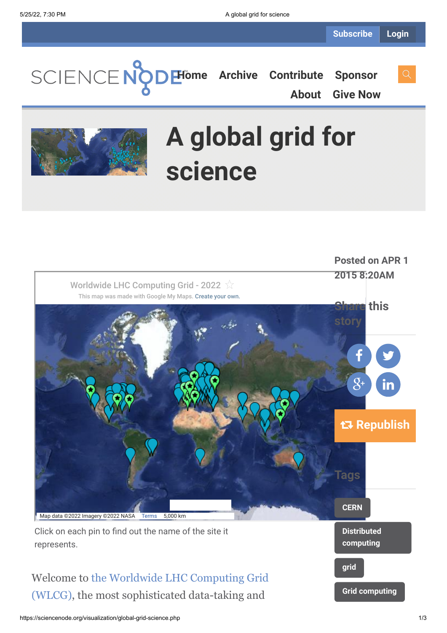**[Home](https://sciencenode.org/) [Archive](https://sciencenode.org/archive/index.php) [Contribute](https://sciencenode.org/contribute/index.php) [Sponsor](https://sciencenode.org/sponsor/index.php)**

**[About](https://sciencenode.org/about/index.php) [Give Now](https://sciencenode.org/donate/index.php)**

# **A global grid for science**



(WLCG), the most sophisticated data-taking and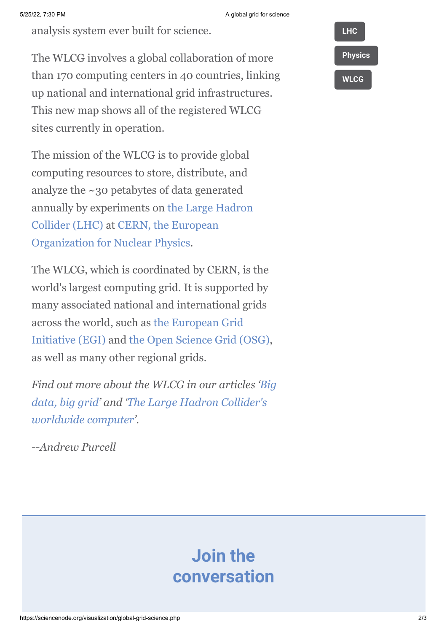analysis system ever built for science.

The WLCG involves a global collaboration of more than 170 computing centers in 40 countries, linking up national and international grid infrastructures. This new map shows all of the registered WLCG sites currently in operation.

The mission of the WLCG is to provide global computing resources to store, distribute, and analyze the ~30 petabytes of data generated [annually by experiments on the Large Hadron](http://home.web.cern.ch/topics/large-hadron-collider) [Collider \(LHC\) at CERN, the European](http://home.web.cern.ch/topics/large-hadron-collider) Organization for Nuclear Physics.

The WLCG, which is coordinated by CERN, is the world's largest computing grid. It is supported by many associated national and international grids [across the world, such as the European Grid](http://www.egi.eu/http:/www.egi.eu/) Initiative (EGI) and [the Open Science Grid \(OSG\)](http://www.opensciencegrid.org/), as well as many other regional grids.

*[Find out more about the WLCG in our articles 'Big](http://www.isgtw.org/visualization/big-data-big-grid) [data, big grid' and 'The Large Hadron Collider's](http://www.isgtw.org/feature/large-hadron-colliders-worldwide-computer) worldwide computer'.*

*--Andrew Purcell*

## **Join the conversation**